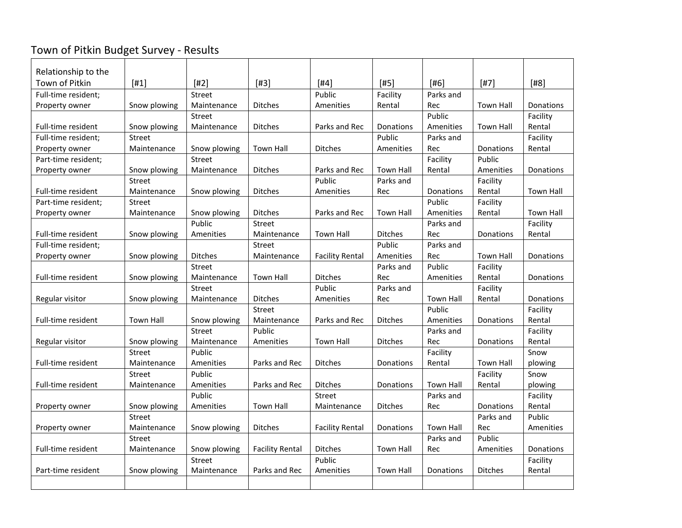## Town of Pitkin Budget Survey - Results

| Relationship to the   |                  |                     |                        |                          |                  |                               |                  |                     |
|-----------------------|------------------|---------------------|------------------------|--------------------------|------------------|-------------------------------|------------------|---------------------|
| <b>Town of Pitkin</b> | $[#1]$           | $[#2]$              | $[#3]$                 | $[#4]$                   | [#5]             | $[#6]$                        | $[#7]$           | $[#8]$              |
| Full-time resident;   |                  | <b>Street</b>       |                        | Public                   | Facility         | Parks and                     |                  |                     |
| Property owner        | Snow plowing     | Maintenance         | <b>Ditches</b>         | Amenities                | Rental           | Rec                           | <b>Town Hall</b> | <b>Donations</b>    |
|                       |                  | Street              |                        |                          |                  | Public                        |                  | Facility            |
| Full-time resident    | Snow plowing     | Maintenance         | <b>Ditches</b>         | Parks and Rec            | Donations        | Amenities                     | <b>Town Hall</b> | Rental              |
| Full-time resident;   | Street           |                     |                        |                          | Public           | Parks and                     |                  | Facility            |
| Property owner        | Maintenance      | Snow plowing        | Town Hall              | <b>Ditches</b>           | Amenities        | Rec                           | Donations        | Rental              |
| Part-time resident;   |                  | <b>Street</b>       |                        |                          |                  | Facility                      | Public           |                     |
| Property owner        | Snow plowing     | Maintenance         | <b>Ditches</b>         | Parks and Rec            | <b>Town Hall</b> | Rental                        | Amenities        | Donations           |
|                       | Street           |                     |                        | Public                   | Parks and        |                               | Facility         |                     |
| Full-time resident    | Maintenance      | Snow plowing        | <b>Ditches</b>         | Amenities                | Rec              | Donations                     | Rental           | <b>Town Hall</b>    |
| Part-time resident:   | Street           |                     |                        |                          |                  | Public                        | Facility         |                     |
| Property owner        | Maintenance      | Snow plowing        | <b>Ditches</b>         | Parks and Rec            | <b>Town Hall</b> | Amenities                     | Rental           | <b>Town Hall</b>    |
|                       |                  | Public              | <b>Street</b>          |                          |                  | Parks and                     |                  | Facility            |
| Full-time resident    | Snow plowing     | Amenities           | Maintenance            | <b>Town Hall</b>         | <b>Ditches</b>   | Rec                           | Donations        | Rental              |
| Full-time resident;   |                  |                     | <b>Street</b>          |                          | Public           | Parks and                     |                  |                     |
| Property owner        | Snow plowing     | <b>Ditches</b>      | Maintenance            | <b>Facility Rental</b>   | Amenities        | Rec                           | <b>Town Hall</b> | Donations           |
|                       |                  | Street              |                        |                          | Parks and        | Public                        | Facility         |                     |
| Full-time resident    | Snow plowing     | Maintenance         | <b>Town Hall</b>       | <b>Ditches</b>           | Rec              | Amenities                     | Rental           | <b>Donations</b>    |
|                       |                  | <b>Street</b>       |                        | Public                   | Parks and        |                               | Facility         |                     |
| Regular visitor       | Snow plowing     | Maintenance         | <b>Ditches</b>         | Amenities                | Rec              | <b>Town Hall</b>              | Rental           | Donations           |
|                       |                  |                     | Street                 |                          |                  | Public                        |                  | Facility            |
| Full-time resident    | <b>Town Hall</b> | Snow plowing        | Maintenance            | Parks and Rec            | <b>Ditches</b>   | Amenities                     | Donations        | Rental              |
|                       |                  | Street              | Public                 |                          |                  | Parks and                     |                  | Facility            |
| Regular visitor       | Snow plowing     | Maintenance         | Amenities              | <b>Town Hall</b>         | <b>Ditches</b>   | Rec                           | Donations        | Rental              |
|                       | Street           | Public              |                        |                          |                  | Facility                      |                  | Snow                |
| Full-time resident    | Maintenance      | Amenities           | Parks and Rec          | <b>Ditches</b>           | Donations        | Rental                        | <b>Town Hall</b> | plowing             |
|                       | Street           | Public              |                        |                          |                  |                               | Facility         | Snow                |
| Full-time resident    | Maintenance      | Amenities<br>Public | Parks and Rec          | <b>Ditches</b><br>Street | Donations        | <b>Town Hall</b><br>Parks and | Rental           | plowing<br>Facility |
| Property owner        | Snow plowing     | Amenities           | <b>Town Hall</b>       | Maintenance              | <b>Ditches</b>   | Rec                           | Donations        | Rental              |
|                       | Street           |                     |                        |                          |                  |                               | Parks and        | Public              |
| Property owner        | Maintenance      | Snow plowing        | <b>Ditches</b>         | <b>Facility Rental</b>   | Donations        | Town Hall                     | Rec              | Amenities           |
|                       | Street           |                     |                        |                          |                  | Parks and                     | Public           |                     |
| Full-time resident    | Maintenance      | Snow plowing        | <b>Facility Rental</b> | <b>Ditches</b>           | <b>Town Hall</b> | Rec                           | Amenities        | Donations           |
|                       |                  | <b>Street</b>       |                        | Public                   |                  |                               |                  | Facility            |
| Part-time resident    | Snow plowing     | Maintenance         | Parks and Rec          | Amenities                | <b>Town Hall</b> | Donations                     | <b>Ditches</b>   | Rental              |
|                       |                  |                     |                        |                          |                  |                               |                  |                     |
|                       |                  |                     |                        |                          |                  |                               |                  |                     |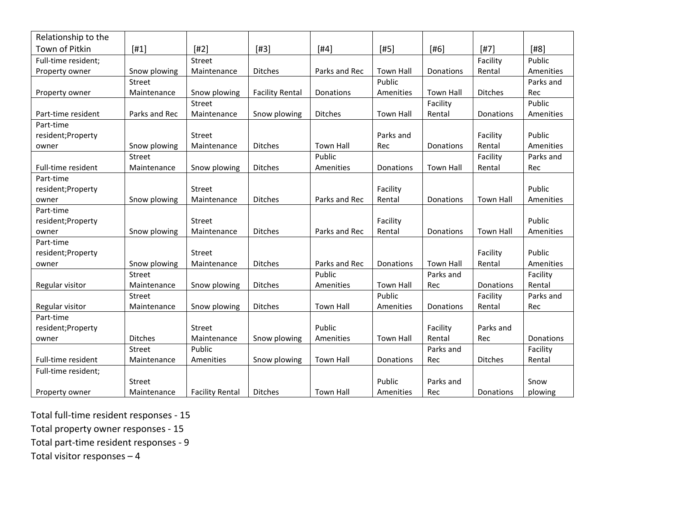| Relationship to the |                |                        |                        |                  |                  |                  |                  |           |
|---------------------|----------------|------------------------|------------------------|------------------|------------------|------------------|------------------|-----------|
| Town of Pitkin      | $[#1]$         | $[#2]$                 | $[#3]$                 | $[#4]$           | $[#5]$           | $[#6]$           | $[#7]$           | $[#8]$    |
| Full-time resident; |                | <b>Street</b>          |                        |                  |                  |                  | Facility         | Public    |
| Property owner      | Snow plowing   | Maintenance            | <b>Ditches</b>         | Parks and Rec    | <b>Town Hall</b> | Donations        | Rental           | Amenities |
|                     | Street         |                        |                        |                  | Public           |                  |                  | Parks and |
| Property owner      | Maintenance    | Snow plowing           | <b>Facility Rental</b> | Donations        | Amenities        | <b>Town Hall</b> | Ditches          | Rec       |
|                     |                | Street                 |                        |                  |                  | Facility         |                  | Public    |
| Part-time resident  | Parks and Rec  | Maintenance            | Snow plowing           | <b>Ditches</b>   | <b>Town Hall</b> | Rental           | Donations        | Amenities |
| Part-time           |                |                        |                        |                  |                  |                  |                  |           |
| resident; Property  |                | <b>Street</b>          |                        |                  | Parks and        |                  | Facility         | Public    |
| owner               | Snow plowing   | Maintenance            | <b>Ditches</b>         | <b>Town Hall</b> | Rec              | Donations        | Rental           | Amenities |
|                     | Street         |                        |                        | Public           |                  |                  | Facility         | Parks and |
| Full-time resident  | Maintenance    | Snow plowing           | <b>Ditches</b>         | Amenities        | Donations        | <b>Town Hall</b> | Rental           | Rec       |
| Part-time           |                |                        |                        |                  |                  |                  |                  |           |
| resident; Property  |                | <b>Street</b>          |                        |                  | Facility         |                  |                  | Public    |
| owner               | Snow plowing   | Maintenance            | <b>Ditches</b>         | Parks and Rec    | Rental           | Donations        | <b>Town Hall</b> | Amenities |
| Part-time           |                |                        |                        |                  |                  |                  |                  |           |
| resident; Property  |                | <b>Street</b>          |                        |                  | Facility         |                  |                  | Public    |
| owner               | Snow plowing   | Maintenance            | <b>Ditches</b>         | Parks and Rec    | Rental           | Donations        | <b>Town Hall</b> | Amenities |
| Part-time           |                |                        |                        |                  |                  |                  |                  |           |
| resident; Property  |                | <b>Street</b>          |                        |                  |                  |                  | Facility         | Public    |
| owner               | Snow plowing   | Maintenance            | Ditches                | Parks and Rec    | Donations        | <b>Town Hall</b> | Rental           | Amenities |
|                     | Street         |                        |                        | Public           |                  | Parks and        |                  | Facility  |
| Regular visitor     | Maintenance    | Snow plowing           | <b>Ditches</b>         | Amenities        | <b>Town Hall</b> | Rec              | Donations        | Rental    |
|                     | Street         |                        |                        |                  | Public           |                  | Facility         | Parks and |
| Regular visitor     | Maintenance    | Snow plowing           | <b>Ditches</b>         | <b>Town Hall</b> | Amenities        | Donations        | Rental           | Rec       |
| Part-time           |                |                        |                        |                  |                  |                  |                  |           |
| resident; Property  |                | Street                 |                        | Public           |                  | Facility         | Parks and        |           |
| owner               | <b>Ditches</b> | Maintenance            | Snow plowing           | Amenities        | <b>Town Hall</b> | Rental           | Rec              | Donations |
|                     | Street         | Public                 |                        |                  |                  | Parks and        |                  | Facility  |
| Full-time resident  | Maintenance    | Amenities              | Snow plowing           | <b>Town Hall</b> | Donations        | Rec              | <b>Ditches</b>   | Rental    |
| Full-time resident; |                |                        |                        |                  |                  |                  |                  |           |
|                     | Street         |                        |                        |                  | Public           | Parks and        |                  | Snow      |
| Property owner      | Maintenance    | <b>Facility Rental</b> | <b>Ditches</b>         | <b>Town Hall</b> | Amenities        | Rec              | Donations        | plowing   |

Total full-time resident responses - 15

Total property owner responses - 15

Total part-time resident responses - 9

Total visitor responses – 4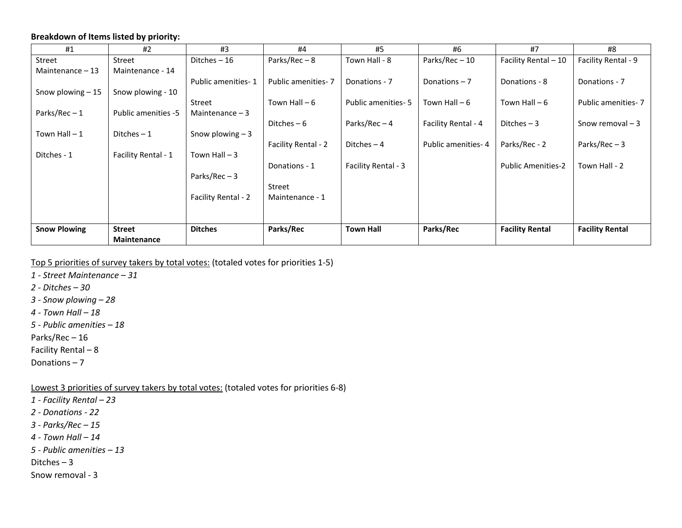## **Breakdown of Items listed by priority:**

| #1                  | #2                         | #3                  | #4                  | #5                   | #6                  | #7                        | #8                     |
|---------------------|----------------------------|---------------------|---------------------|----------------------|---------------------|---------------------------|------------------------|
| Street              | Street                     | Ditches $-16$       | Parks/Rec $-8$      | Town Hall - 8        | Parks/Rec-10        | Facility Rental - 10      | Facility Rental - 9    |
| Maintenance $-13$   | Maintenance - 14           |                     |                     |                      |                     |                           |                        |
|                     |                            | Public amenities-1  | Public amenities-7  | Donations - 7        | Donations $-7$      | Donations - 8             | Donations - 7          |
| Snow plowing $-15$  | Snow plowing - 10          |                     |                     |                      |                     |                           |                        |
|                     |                            | Street              | Town Hall $-6$      | Public amenities - 5 | Town Hall - 6       | Town Hall $-6$            | Public amenities - 7   |
| Parks/Rec-1         | <b>Public amenities -5</b> | Maintenance $-3$    |                     |                      |                     |                           |                        |
|                     |                            |                     | Ditches $-6$        | Parks/Rec-4          | Facility Rental - 4 | Ditches $-3$              | Snow removal $-3$      |
| Town Hall $-1$      | Ditches $-1$               | Snow plowing $-3$   |                     |                      |                     |                           |                        |
|                     |                            |                     | Facility Rental - 2 | Ditches $-4$         | Public amenities-4  | Parks/Rec - 2             | Parks/Rec $-3$         |
| Ditches - 1         | Facility Rental - 1        | Town Hall $-3$      |                     |                      |                     |                           |                        |
|                     |                            |                     | Donations - 1       | Facility Rental - 3  |                     | <b>Public Amenities-2</b> | Town Hall - 2          |
|                     |                            | Parks/Rec $-3$      |                     |                      |                     |                           |                        |
|                     |                            |                     | Street              |                      |                     |                           |                        |
|                     |                            | Facility Rental - 2 | Maintenance - 1     |                      |                     |                           |                        |
|                     |                            |                     |                     |                      |                     |                           |                        |
|                     |                            |                     |                     |                      |                     |                           |                        |
| <b>Snow Plowing</b> | <b>Street</b>              | <b>Ditches</b>      | Parks/Rec           | <b>Town Hall</b>     | Parks/Rec           | <b>Facility Rental</b>    | <b>Facility Rental</b> |
|                     | <b>Maintenance</b>         |                     |                     |                      |                     |                           |                        |

Top 5 priorities of survey takers by total votes: (totaled votes for priorities 1-5)

*1 - Street Maintenance – 31*

*2 - Ditches – 30*

*3 - Snow plowing – 28*

*4 - Town Hall – 18*

*5 - Public amenities – 18*

Parks/Rec – 16

Facility Rental – 8

Donations – 7

Lowest 3 priorities of survey takers by total votes: (totaled votes for priorities 6-8)

*1 - Facility Rental – 23*

*2 - Donations - 22*

*3 - Parks/Rec – 15*

*4 - Town Hall – 14*

*5 - Public amenities – 13*

Ditches – 3

Snow removal - 3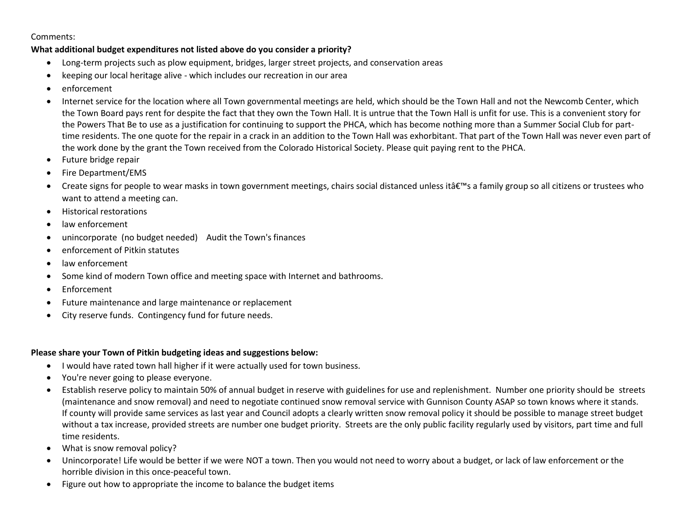Comments:

## **What additional budget expenditures not listed above do you consider a priority?**

- Long-term projects such as plow equipment, bridges, larger street projects, and conservation areas
- keeping our local heritage alive which includes our recreation in our area
- enforcement
- Internet service for the location where all Town governmental meetings are held, which should be the Town Hall and not the Newcomb Center, which the Town Board pays rent for despite the fact that they own the Town Hall. It is untrue that the Town Hall is unfit for use. This is a convenient story for the Powers That Be to use as a justification for continuing to support the PHCA, which has become nothing more than a Summer Social Club for parttime residents. The one quote for the repair in a crack in an addition to the Town Hall was exhorbitant. That part of the Town Hall was never even part of the work done by the grant the Town received from the Colorado Historical Society. Please quit paying rent to the PHCA.
- Future bridge repair
- Fire Department/EMS
- Create signs for people to wear masks in town government meetings, chairs social distanced unless it  $\hat{\alpha} \in \mathbb{N}$  a family group so all citizens or trustees who want to attend a meeting can.
- Historical restorations
- law enforcement
- unincorporate (no budget needed) Audit the Town's finances
- enforcement of Pitkin statutes
- law enforcement
- Some kind of modern Town office and meeting space with Internet and bathrooms.
- **Enforcement**
- Future maintenance and large maintenance or replacement
- City reserve funds. Contingency fund for future needs.

## **Please share your Town of Pitkin budgeting ideas and suggestions below:**

- I would have rated town hall higher if it were actually used for town business.
- You're never going to please everyone.
- Establish reserve policy to maintain 50% of annual budget in reserve with guidelines for use and replenishment. Number one priority should be streets (maintenance and snow removal) and need to negotiate continued snow removal service with Gunnison County ASAP so town knows where it stands. If county will provide same services as last year and Council adopts a clearly written snow removal policy it should be possible to manage street budget without a tax increase, provided streets are number one budget priority. Streets are the only public facility regularly used by visitors, part time and full time residents.
- What is snow removal policy?
- Unincorporate! Life would be better if we were NOT a town. Then you would not need to worry about a budget, or lack of law enforcement or the horrible division in this once-peaceful town.
- Figure out how to appropriate the income to balance the budget items